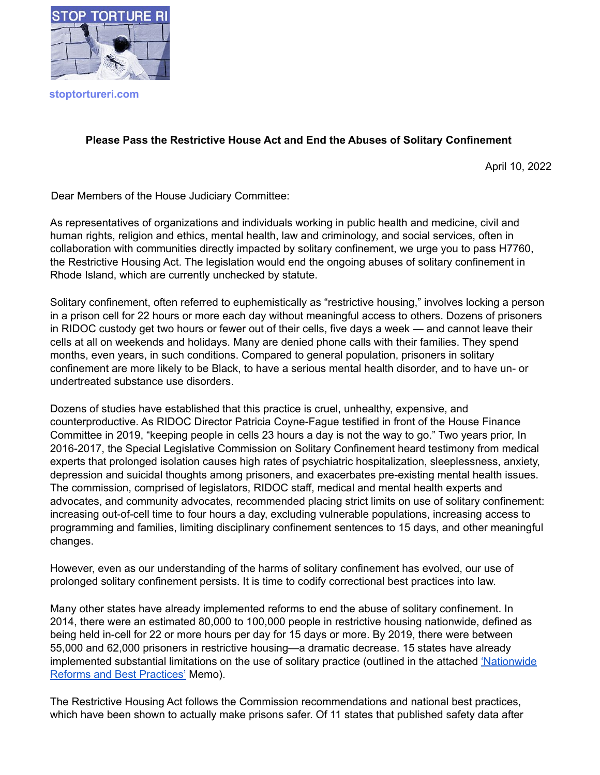

**stoptortureri.com**

## **Please Pass the Restrictive House Act and End the Abuses of Solitary Confinement**

April 10, 2022

Dear Members of the House Judiciary Committee:

As representatives of organizations and individuals working in public health and medicine, civil and human rights, religion and ethics, mental health, law and criminology, and social services, often in collaboration with communities directly impacted by solitary confinement, we urge you to pass H7760, the Restrictive Housing Act. The legislation would end the ongoing abuses of solitary confinement in Rhode Island, which are currently unchecked by statute.

Solitary confinement, often referred to euphemistically as "restrictive housing," involves locking a person in a prison cell for 22 hours or more each day without meaningful access to others. Dozens of prisoners in RIDOC custody get two hours or fewer out of their cells, five days a week — and cannot leave their cells at all on weekends and holidays. Many are denied phone calls with their families. They spend months, even years, in such conditions. Compared to general population, prisoners in solitary confinement are more likely to be Black, to have a serious mental health disorder, and to have un- or undertreated substance use disorders.

Dozens of studies have established that this practice is cruel, unhealthy, expensive, and counterproductive. As RIDOC Director Patricia Coyne-Fague testified in front of the House Finance Committee in 2019, "keeping people in cells 23 hours a day is not the way to go." Two years prior, In 2016-2017, the Special Legislative Commission on Solitary Confinement heard testimony from medical experts that prolonged isolation causes high rates of psychiatric hospitalization, sleeplessness, anxiety, depression and suicidal thoughts among prisoners, and exacerbates pre-existing mental health issues. The commission, comprised of legislators, RIDOC staff, medical and mental health experts and advocates, and community advocates, recommended placing strict limits on use of solitary confinement: increasing out-of-cell time to four hours a day, excluding vulnerable populations, increasing access to programming and families, limiting disciplinary confinement sentences to 15 days, and other meaningful changes.

However, even as our understanding of the harms of solitary confinement has evolved, our use of prolonged solitary confinement persists. It is time to codify correctional best practices into law.

Many other states have already implemented reforms to end the abuse of solitary confinement. In 2014, there were an estimated 80,000 to 100,000 people in restrictive housing nationwide, defined as being held in-cell for 22 or more hours per day for 15 days or more. By 2019, there were between 55,000 and 62,000 prisoners in restrictive housing—a dramatic decrease. 15 states have already implemented substantial limitations on the use of solitary practice (outlined in the attached ['Nationwide](https://docs.google.com/document/d/16cAZiMYKzS26GqGphaRIkZptdhu7SSO9nvGkF3WNiok/edit) Reforms and Best [Practices'](https://docs.google.com/document/d/16cAZiMYKzS26GqGphaRIkZptdhu7SSO9nvGkF3WNiok/edit) Memo).

The Restrictive Housing Act follows the Commission recommendations and national best practices, which have been shown to actually make prisons safer. Of 11 states that published safety data after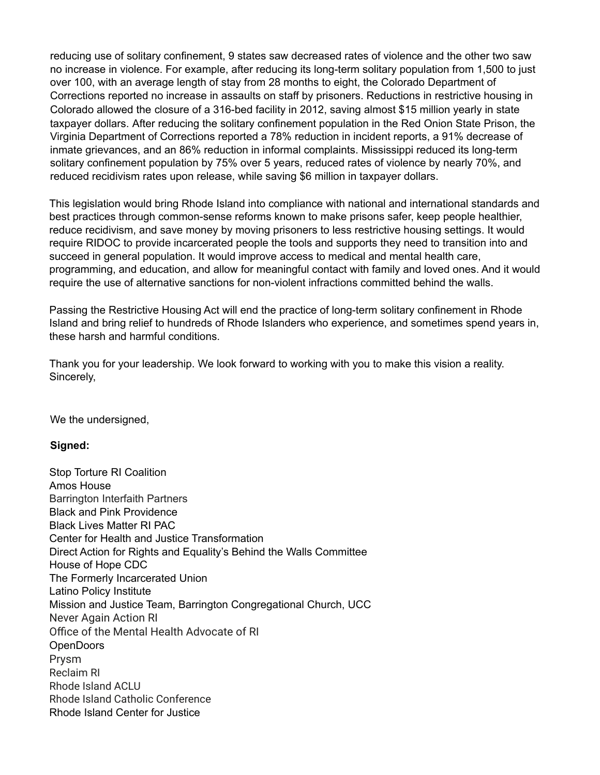reducing use of solitary confinement, 9 states saw decreased rates of violence and the other two saw no increase in violence. For example, after reducing its long-term solitary population from 1,500 to just over 100, with an average length of stay from 28 months to eight, the Colorado Department of Corrections reported no increase in assaults on staff by prisoners. Reductions in restrictive housing in Colorado allowed the closure of a 316-bed facility in 2012, saving almost \$15 million yearly in state taxpayer dollars. After reducing the solitary confinement population in the Red Onion State Prison, the Virginia Department of Corrections reported a 78% reduction in incident reports, a 91% decrease of inmate grievances, and an 86% reduction in informal complaints. Mississippi reduced its long-term solitary confinement population by 75% over 5 years, reduced rates of violence by nearly 70%, and reduced recidivism rates upon release, while saving \$6 million in taxpayer dollars.

This legislation would bring Rhode Island into compliance with national and international standards and best practices through common-sense reforms known to make prisons safer, keep people healthier, reduce recidivism, and save money by moving prisoners to less restrictive housing settings. It would require RIDOC to provide incarcerated people the tools and supports they need to transition into and succeed in general population. It would improve access to medical and mental health care, programming, and education, and allow for meaningful contact with family and loved ones. And it would require the use of alternative sanctions for non-violent infractions committed behind the walls.

Passing the Restrictive Housing Act will end the practice of long-term solitary confinement in Rhode Island and bring relief to hundreds of Rhode Islanders who experience, and sometimes spend years in, these harsh and harmful conditions.

Thank you for your leadership. We look forward to working with you to make this vision a reality. Sincerely,

We the undersigned,

## **Signed:**

Stop Torture RI Coalition Amos House Barrington Interfaith Partners Black and Pink Providence Black Lives Matter RI PAC Center for Health and Justice Transformation Direct Action for Rights and Equality's Behind the Walls Committee House of Hope CDC The Formerly Incarcerated Union Latino Policy Institute Mission and Justice Team, Barrington Congregational Church, UCC Never Again Action RI Office of the Mental Health Advocate of RI **OpenDoors** Prysm Reclaim RI Rhode Island ACLU Rhode Island Catholic Conference Rhode Island Center for Justice